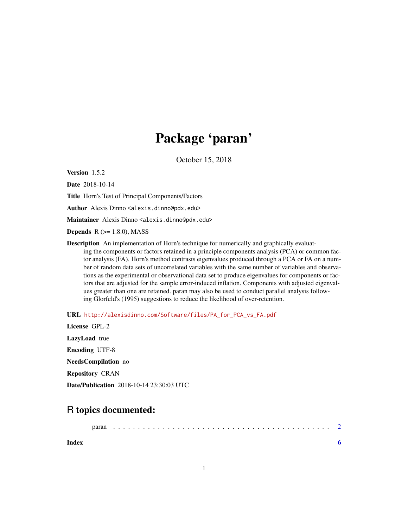## Package 'paran'

October 15, 2018

<span id="page-0-0"></span>Version 1.5.2

Date 2018-10-14

Title Horn's Test of Principal Components/Factors

Author Alexis Dinno <alexis.dinno@pdx.edu>

Maintainer Alexis Dinno <alexis.dinno@pdx.edu>

**Depends**  $R$  ( $>= 1.8.0$ ), MASS

Description An implementation of Horn's technique for numerically and graphically evaluating the components or factors retained in a principle components analysis (PCA) or common factor analysis (FA). Horn's method contrasts eigenvalues produced through a PCA or FA on a number of random data sets of uncorrelated variables with the same number of variables and observations as the experimental or observational data set to produce eigenvalues for components or factors that are adjusted for the sample error-induced inflation. Components with adjusted eigenvalues greater than one are retained. paran may also be used to conduct parallel analysis following Glorfeld's (1995) suggestions to reduce the likelihood of over-retention.

URL [http://alexisdinno.com/Software/files/PA\\_for\\_PCA\\_vs\\_FA.pdf](http://alexisdinno.com/Software/files/PA_for_PCA_vs_FA.pdf)

License GPL-2 LazyLoad true Encoding UTF-8 NeedsCompilation no Repository CRAN Date/Publication 2018-10-14 23:30:03 UTC

### R topics documented:

|--|--|--|--|--|--|--|--|--|--|--|--|--|--|--|--|--|--|--|--|--|--|--|--|--|--|--|--|--|--|--|--|--|--|--|--|--|--|--|--|

**Index** [6](#page-5-0) **6**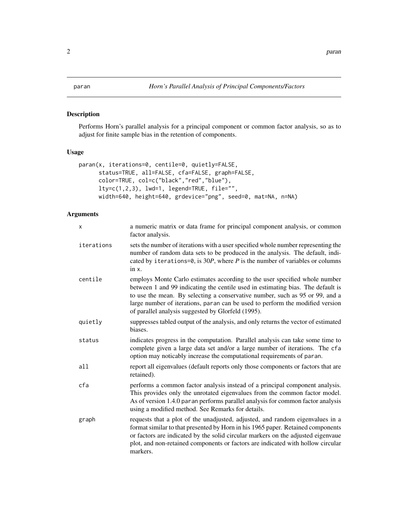#### <span id="page-1-0"></span>Description

Performs Horn's parallel analysis for a principal component or common factor analysis, so as to adjust for finite sample bias in the retention of components.

#### Usage

```
paran(x, iterations=0, centile=0, quietly=FALSE,
 status=TRUE, all=FALSE, cfa=FALSE, graph=FALSE,
 color=TRUE, col=c("black","red","blue"),
lty=c(1,2,3), lwd=1, legend=TRUE, file="",
width=640, height=640, grdevice="png", seed=0, mat=NA, n=NA)
```
#### Arguments

| X          | a numeric matrix or data frame for principal component analysis, or common<br>factor analysis.                                                                                                                                                                                                                                                                                       |
|------------|--------------------------------------------------------------------------------------------------------------------------------------------------------------------------------------------------------------------------------------------------------------------------------------------------------------------------------------------------------------------------------------|
| iterations | sets the number of iterations with a user specified whole number representing the<br>number of random data sets to be produced in the analysis. The default, indi-<br>cated by iterations=0, is $30P$ , where P is the number of variables or columns<br>in $x$ .                                                                                                                    |
| centile    | employs Monte Carlo estimates according to the user specified whole number<br>between 1 and 99 indicating the centile used in estimating bias. The default is<br>to use the mean. By selecting a conservative number, such as 95 or 99, and a<br>large number of iterations, paran can be used to perform the modified version<br>of parallel analysis suggested by Glorfeld (1995). |
| quietly    | suppresses tabled output of the analysis, and only returns the vector of estimated<br>biases.                                                                                                                                                                                                                                                                                        |
| status     | indicates progress in the computation. Parallel analysis can take some time to<br>complete given a large data set and/or a large number of iterations. The cfa<br>option may noticably increase the computational requirements of paran.                                                                                                                                             |
| all        | report all eigenvalues (default reports only those components or factors that are<br>retained).                                                                                                                                                                                                                                                                                      |
| cfa        | performs a common factor analysis instead of a principal component analysis.<br>This provides only the unrotated eigenvalues from the common factor model.<br>As of version 1.4.0 paran performs parallel analysis for common factor analysis<br>using a modified method. See Remarks for details.                                                                                   |
| graph      | requests that a plot of the unadjusted, adjusted, and random eigenvalues in a<br>format similar to that presented by Horn in his 1965 paper. Retained components<br>or factors are indicated by the solid circular markers on the adjusted eigenvaue<br>plot, and non-retained components or factors are indicated with hollow circular<br>markers.                                  |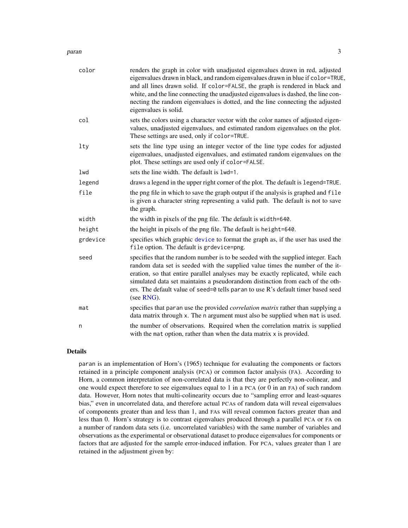#### <span id="page-2-0"></span>paran 3

| color    | renders the graph in color with unadjusted eigenvalues drawn in red, adjusted<br>eigenvalues drawn in black, and random eigenvalues drawn in blue if color=TRUE,<br>and all lines drawn solid. If color=FALSE, the graph is rendered in black and<br>white, and the line connecting the unadjusted eigenvalues is dashed, the line con-<br>necting the random eigenvalues is dotted, and the line connecting the adjusted<br>eigenvalues is solid. |
|----------|----------------------------------------------------------------------------------------------------------------------------------------------------------------------------------------------------------------------------------------------------------------------------------------------------------------------------------------------------------------------------------------------------------------------------------------------------|
| col      | sets the colors using a character vector with the color names of adjusted eigen-<br>values, unadjusted eigenvalues, and estimated random eigenvalues on the plot.<br>These settings are used, only if color=TRUE.                                                                                                                                                                                                                                  |
| $1$ ty   | sets the line type using an integer vector of the line type codes for adjusted<br>eigenvalues, unadjusted eigenvalues, and estimated random eigenvalues on the<br>plot. These settings are used only if color=FALSE.                                                                                                                                                                                                                               |
| lwd      | sets the line width. The default is 1wd=1.                                                                                                                                                                                                                                                                                                                                                                                                         |
| legend   | draws a legend in the upper right corner of the plot. The default is legend=TRUE.                                                                                                                                                                                                                                                                                                                                                                  |
| file     | the png file in which to save the graph output if the analysis is graphed and file<br>is given a character string representing a valid path. The default is not to save<br>the graph.                                                                                                                                                                                                                                                              |
| width    | the width in pixels of the png file. The default is width=640.                                                                                                                                                                                                                                                                                                                                                                                     |
| height   | the height in pixels of the png file. The default is height=640.                                                                                                                                                                                                                                                                                                                                                                                   |
| grdevice | specifies which graphic device to format the graph as, if the user has used the<br>file option. The default is grdevice=png.                                                                                                                                                                                                                                                                                                                       |
| seed     | specifies that the random number is to be seeded with the supplied integer. Each<br>random data set is seeded with the supplied value times the number of the it-<br>eration, so that entire parallel analyses may be exactly replicated, while each<br>simulated data set maintains a pseudorandom distinction from each of the oth-<br>ers. The default value of seed=0 tells paran to use R's default timer based seed<br>(see RNG).            |
| mat      | specifies that paran use the provided <i>correlation matrix</i> rather than supplying a<br>data matrix through x. The n argument must also be supplied when mat is used.                                                                                                                                                                                                                                                                           |
| n        | the number of observations. Required when the correlation matrix is supplied<br>with the mat option, rather than when the data matrix x is provided.                                                                                                                                                                                                                                                                                               |

#### Details

paran is an implementation of Horn's (1965) technique for evaluating the components or factors retained in a principle component analysis (PCA) or common factor analysis (FA). According to Horn, a common interpretation of non-correlated data is that they are perfectly non-colinear, and one would expect therefore to see eigenvalues equal to 1 in a PCA (or 0 in an FA) of such random data. However, Horn notes that multi-colinearity occurs due to "sampling error and least-squares bias," even in uncorrelated data, and therefore actual PCAs of random data will reveal eigenvalues of components greater than and less than 1, and FAs will reveal common factors greater than and less than 0. Horn's strategy is to contrast eigenvalues produced through a parallel PCA or FA on a number of random data sets (i.e. uncorrelated variables) with the same number of variables and observations as the experimental or observational dataset to produce eigenvalues for components or factors that are adjusted for the sample error-induced inflation. For PCA, values greater than 1 are retained in the adjustment given by: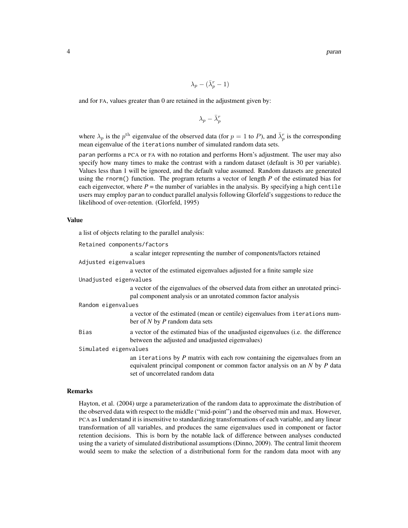$$
\lambda_p - (\bar{\lambda}_p^r - 1)
$$

and for FA, values greater than 0 are retained in the adjustment given by:

$$
\lambda_p-\bar{\lambda}_p^r
$$

where  $\lambda_p$  is the  $p^{\text{th}}$  eigenvalue of the observed data (for  $p = 1$  to P), and  $\bar{\lambda}_p^r$  is the corresponding mean eigenvalue of the iterations number of simulated random data sets.

paran performs a PCA or FA with no rotation and performs Horn's adjustment. The user may also specify how many times to make the contrast with a random dataset (default is 30 per variable). Values less than 1 will be ignored, and the default value assumed. Random datasets are generated using the rnorm() function. The program returns a vector of length *P* of the estimated bias for each eigenvector, where  $P =$  the number of variables in the analysis. By specifying a high centile users may employ paran to conduct parallel analysis following Glorfeld's suggestions to reduce the likelihood of over-retention. (Glorfeld, 1995)

#### Value

a list of objects relating to the parallel analysis:

```
Retained components/factors
```
a scalar integer representing the number of components/factors retained

Adjusted eigenvalues

a vector of the estimated eigenvalues adjusted for a finite sample size

#### Unadjusted eigenvalues

a vector of the eigenvalues of the observed data from either an unrotated principal component analysis or an unrotated common factor analysis

Random eigenvalues

a vector of the estimated (mean or centile) eigenvalues from iterations number of *N* by *P* random data sets

Bias a vector of the estimated bias of the unadjusted eigenvalues (i.e. the difference between the adjusted and unadjusted eigenvalues)

Simulated eigenvalues

an iterations by *P* matrix with each row containing the eigenvalues from an equivalent principal component or common factor analysis on an *N* by *P* data set of uncorrelated random data

#### Remarks

Hayton, et al. (2004) urge a parameterization of the random data to approximate the distribution of the observed data with respect to the middle ("mid-point") and the observed min and max. However, PCA as I understand it is insensitive to standardizing transformations of each variable, and any linear transformation of all variables, and produces the same eigenvalues used in component or factor retention decisions. This is born by the notable lack of difference between analyses conducted using the a variety of simulated distributional assumptions (Dinno, 2009). The central limit theorem would seem to make the selection of a distributional form for the random data moot with any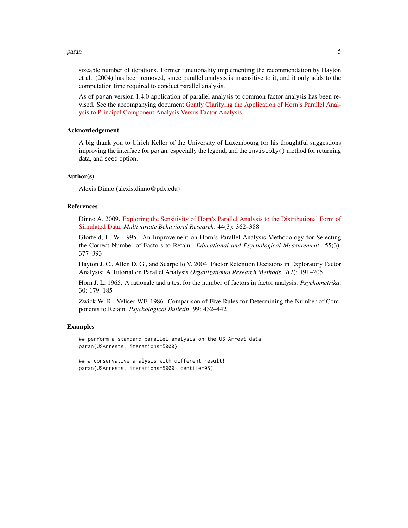#### paran 5

sizeable number of iterations. Former functionality implementing the recommendation by Hayton et al. (2004) has been removed, since parallel analysis is insensitive to it, and it only adds to the computation time required to conduct parallel analysis.

As of paran version 1.4.0 application of parallel analysis to common factor analysis has been revised. See the accompanying document [Gently Clarifying the Application of Horn's Parallel Anal](http://alexisdinno.com/Software/files/PA_for_PCA_vs_FA.pdf)[ysis to Principal Component Analysis Versus Factor Analysis.](http://alexisdinno.com/Software/files/PA_for_PCA_vs_FA.pdf)

#### Acknowledgement

A big thank you to Ulrich Keller of the University of Luxembourg for his thoughtful suggestions improving the interface for paran, especially the legend, and the invisibly() method for returning data, and seed option.

#### Author(s)

Alexis Dinno (alexis.dinno@pdx.edu)

#### References

Dinno A. 2009. [Exploring the Sensitivity of Horn's Parallel Analysis to the Distributional Form of](http://alexisdinno.com/personal/files/Dinno2009b.pdf) [Simulated Data.](http://alexisdinno.com/personal/files/Dinno2009b.pdf) *Multivariate Behavioral Research*. 44(3): 362–388

Glorfeld, L. W. 1995. An Improvement on Horn's Parallel Analysis Methodology for Selecting the Correct Number of Factors to Retain. *Educational and Psychological Measurement*. 55(3): 377–393

Hayton J. C., Allen D. G., and Scarpello V. 2004. Factor Retention Decisions in Exploratory Factor Analysis: A Tutorial on Parallel Analysis *Organizational Research Methods*. 7(2): 191–205

Horn J. L. 1965. A rationale and a test for the number of factors in factor analysis. *Psychometrika*. 30: 179–185

Zwick W. R., Velicer WF. 1986. Comparison of Five Rules for Determining the Number of Components to Retain. *Psychological Bulletin*. 99: 432–442

#### Examples

## perform a standard parallel analysis on the US Arrest data paran(USArrests, iterations=5000)

## a conservative analysis with different result! paran(USArrests, iterations=5000, centile=95)